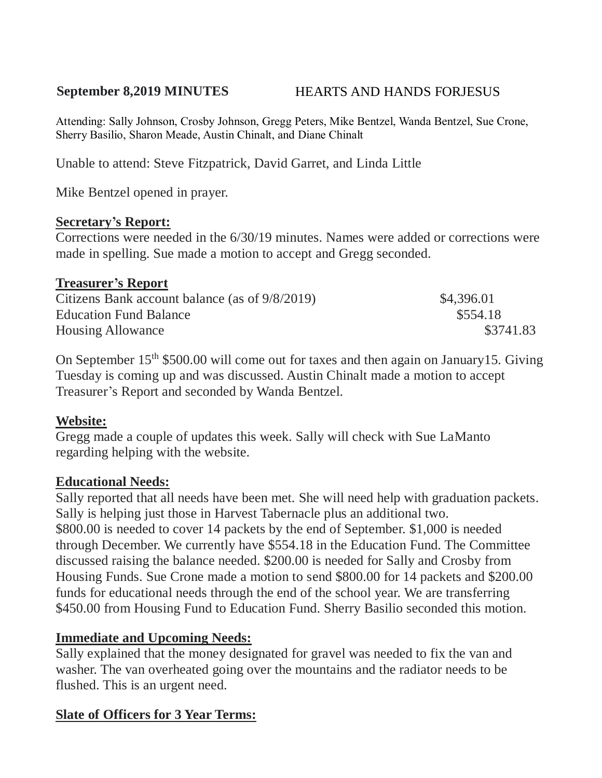# **September 8,2019 MINUTES** HEARTS AND HANDS FORJESUS

Attending: Sally Johnson, Crosby Johnson, Gregg Peters, Mike Bentzel, Wanda Bentzel, Sue Crone, Sherry Basilio, Sharon Meade, Austin Chinalt, and Diane Chinalt

Unable to attend: Steve Fitzpatrick, David Garret, and Linda Little

Mike Bentzel opened in prayer.

#### **Secretary's Report:**

Corrections were needed in the 6/30/19 minutes. Names were added or corrections were made in spelling. Sue made a motion to accept and Gregg seconded.

#### **Treasurer's Report**

| Citizens Bank account balance (as of 9/8/2019) | \$4,396.01 |
|------------------------------------------------|------------|
| <b>Education Fund Balance</b>                  | \$554.18   |
| <b>Housing Allowance</b>                       | \$3741.83  |

On September 15th \$500.00 will come out for taxes and then again on January15. Giving Tuesday is coming up and was discussed. Austin Chinalt made a motion to accept Treasurer's Report and seconded by Wanda Bentzel.

# **Website:**

Gregg made a couple of updates this week. Sally will check with Sue LaManto regarding helping with the website.

#### **Educational Needs:**

Sally reported that all needs have been met. She will need help with graduation packets. Sally is helping just those in Harvest Tabernacle plus an additional two. \$800.00 is needed to cover 14 packets by the end of September. \$1,000 is needed through December. We currently have \$554.18 in the Education Fund. The Committee discussed raising the balance needed. \$200.00 is needed for Sally and Crosby from Housing Funds. Sue Crone made a motion to send \$800.00 for 14 packets and \$200.00 funds for educational needs through the end of the school year. We are transferring \$450.00 from Housing Fund to Education Fund. Sherry Basilio seconded this motion.

# **Immediate and Upcoming Needs:**

Sally explained that the money designated for gravel was needed to fix the van and washer. The van overheated going over the mountains and the radiator needs to be flushed. This is an urgent need.

# **Slate of Officers for 3 Year Terms:**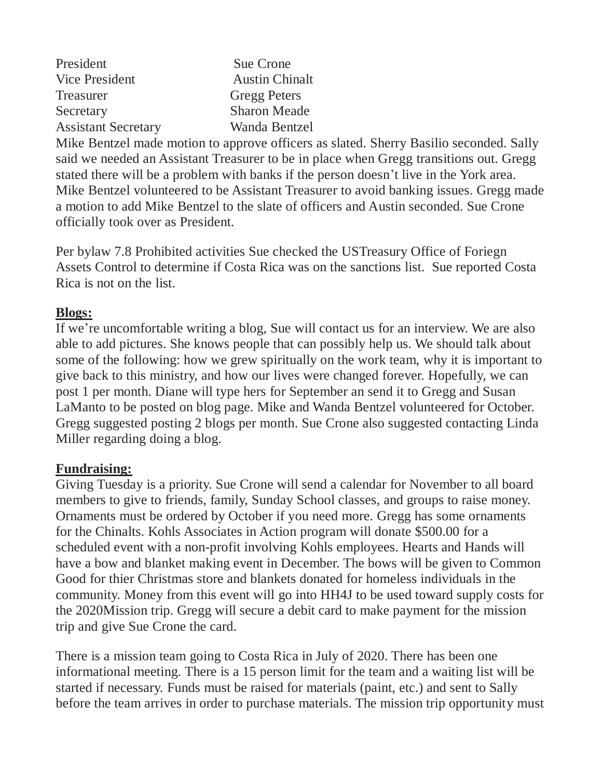| President                  | Sue Crone             |
|----------------------------|-----------------------|
| Vice President             | <b>Austin Chinalt</b> |
| <b>Treasurer</b>           | <b>Gregg Peters</b>   |
| Secretary                  | <b>Sharon Meade</b>   |
| <b>Assistant Secretary</b> | Wanda Bentzel         |

Mike Bentzel made motion to approve officers as slated. Sherry Basilio seconded. Sally said we needed an Assistant Treasurer to be in place when Gregg transitions out. Gregg stated there will be a problem with banks if the person doesn't live in the York area. Mike Bentzel volunteered to be Assistant Treasurer to avoid banking issues. Gregg made a motion to add Mike Bentzel to the slate of officers and Austin seconded. Sue Crone officially took over as President.

Per bylaw 7.8 Prohibited activities Sue checked the USTreasury Office of Foriegn Assets Control to determine if Costa Rica was on the sanctions list. Sue reported Costa Rica is not on the list.

### **Blogs:**

If we're uncomfortable writing a blog, Sue will contact us for an interview. We are also able to add pictures. She knows people that can possibly help us. We should talk about some of the following: how we grew spiritually on the work team, why it is important to give back to this ministry, and how our lives were changed forever. Hopefully, we can post 1 per month. Diane will type hers for September an send it to Gregg and Susan LaManto to be posted on blog page. Mike and Wanda Bentzel volunteered for October. Gregg suggested posting 2 blogs per month. Sue Crone also suggested contacting Linda Miller regarding doing a blog.

# **Fundraising:**

Giving Tuesday is a priority. Sue Crone will send a calendar for November to all board members to give to friends, family, Sunday School classes, and groups to raise money. Ornaments must be ordered by October if you need more. Gregg has some ornaments for the Chinalts. Kohls Associates in Action program will donate \$500.00 for a scheduled event with a non-profit involving Kohls employees. Hearts and Hands will have a bow and blanket making event in December. The bows will be given to Common Good for thier Christmas store and blankets donated for homeless individuals in the community. Money from this event will go into HH4J to be used toward supply costs for the 2020Mission trip. Gregg will secure a debit card to make payment for the mission trip and give Sue Crone the card.

There is a mission team going to Costa Rica in July of 2020. There has been one informational meeting. There is a 15 person limit for the team and a waiting list will be started if necessary. Funds must be raised for materials (paint, etc.) and sent to Sally before the team arrives in order to purchase materials. The mission trip opportunity must